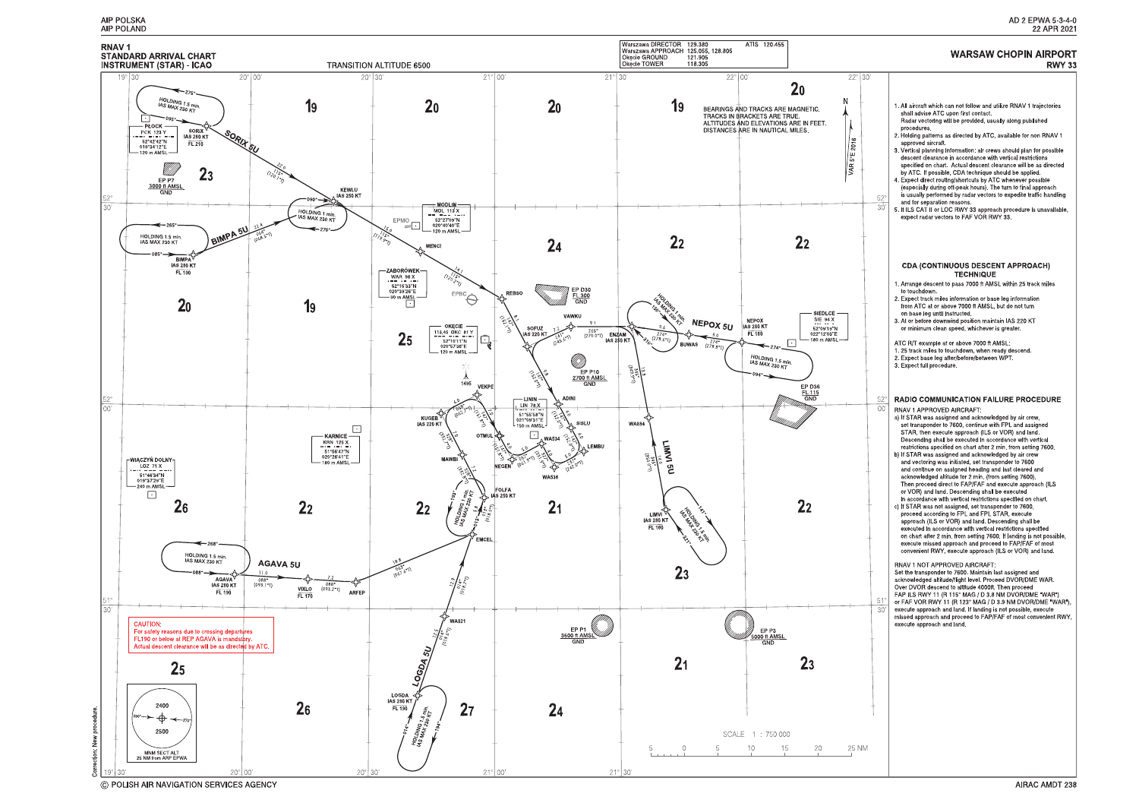

© POLISH AIR NAVIGATION SERVICES AGENCY

# AD 2 EPWA 5-3-4-0<br>22 APR 2021

# **WARSAW CHOPIN AIRPORT**

|                                        | <b>RWY 33</b>                                                                                                                                                                                                                                                                                                                                                                                                                                                                                                                                                                                                                                                                                                                                                                                                                                                                                                                                                                                                                                                                                                                                                                                                                                                                                                                                                                                                                                                                                                                                                                                                                                                                                                                        |
|----------------------------------------|--------------------------------------------------------------------------------------------------------------------------------------------------------------------------------------------------------------------------------------------------------------------------------------------------------------------------------------------------------------------------------------------------------------------------------------------------------------------------------------------------------------------------------------------------------------------------------------------------------------------------------------------------------------------------------------------------------------------------------------------------------------------------------------------------------------------------------------------------------------------------------------------------------------------------------------------------------------------------------------------------------------------------------------------------------------------------------------------------------------------------------------------------------------------------------------------------------------------------------------------------------------------------------------------------------------------------------------------------------------------------------------------------------------------------------------------------------------------------------------------------------------------------------------------------------------------------------------------------------------------------------------------------------------------------------------------------------------------------------------|
| ìО,                                    |                                                                                                                                                                                                                                                                                                                                                                                                                                                                                                                                                                                                                                                                                                                                                                                                                                                                                                                                                                                                                                                                                                                                                                                                                                                                                                                                                                                                                                                                                                                                                                                                                                                                                                                                      |
| $52^\circ$<br>30'                      | 1. All aircraft which can not follow and utilize RNAV 1 trajectories<br>shall advise ATC upon first contact.<br>Radar vectoring will be provided, usually along published<br>procedures.<br>2. Holding patterns as directed by ATC, available for non RNAV 1<br>approved aircraft<br>3. Vertical planning information: air crews should plan for possible<br>descent clearance in accordance with vertical restrictions<br>specified on chart Actual descent clearance will be as directed<br>by ATC. If possible, CDA technique should be applied.<br>4 Expect direct routing/shortcuts by ATC whenever possible<br>(especially during off-peak hours). The turn to final approach<br>is usually performed by radar vectors to expedite traffic handling<br>and for separation reasons.<br>5. If ILS CAT II or LOC RWY 33 approach procedure is unavailable,<br>expect radar vectors to FAF VOR RWY 33.                                                                                                                                                                                                                                                                                                                                                                                                                                                                                                                                                                                                                                                                                                                                                                                                                             |
|                                        | <b>CDA (CONTINUOUS DESCENT APPROACH)</b><br><b>TECHNIQUE</b><br>1. Arrange descent to pass 7000 ft AMSL within 25 track miles<br>to touchdown.<br>2. Expect track miles information or base leg information<br>from ATC at or above 7000 ft AMSL, but do not turn<br>on base leg until instructed.<br>3. At or before downwind position maintain IAS 220 KT<br>or minimum clean speed, whichever is greater.<br>ATC R/T example at or above 7000 ft AMSL.<br>1. 25 track miles to touchdown, when ready descend.<br>2. Expect base leg after/before/between WPT.<br>3. Expect full procedure.                                                                                                                                                                                                                                                                                                                                                                                                                                                                                                                                                                                                                                                                                                                                                                                                                                                                                                                                                                                                                                                                                                                                        |
| $52^\circ$<br>00'<br>$51^\circ$<br>30' | <b>RADIO COMMUNICATION FAILURE PROCEDURE</b><br>RNAV 1 APPROVED AIRCRAFT.<br>a) If STAR was assigned and acknowledged by air crew,<br>set transponder to 7600, continue with FPL and assigned<br>STAR, then execute approach (ILS or VOR) and land.<br>Descending shall be executed in accordance with vertical<br>restrictions specified on chart after 2 min from setting 7600.<br>b) If STAR was assigned and acknowledged by air crew<br>and vectoring was initiated, set transponder to 7600<br>and continue on assigned heading and last cleared and<br>acknowledged altitude for 2 min (from setting 7600).<br>Then proceed direct to FAP/FAF and execute approach (ILS<br>or VOR) and land. Descending shall be executed<br>in accordance with vertical restrictions specified on chart.<br>c) If STAR was not assigned, set transponder to 7600,<br>proceed according to FPL and FPL STAR, execute<br>approach (ILS or VOR) and land. Descending shall be<br>executed in accordance with vertical restrictions specified<br>on chart after 2 min. from setting 7600. If landing is not possible,<br>execute missed approach and proceed to FAP/FAF of most<br>convenient RWY, execute approach (ILS or VOR) and land.<br>RNAV 1 NOT APPROVED AIRCRAFT:<br>Set the transponder to 7600. Maintain last assigned and<br>acknowledged altitude/flight level. Proceed DVOR/DME WAR.<br>Over DVOR descend to altitude 4000ft. Then proceed<br>FAP ILS RWY 11 (R 115° MAG / D 3 8 NM DVOR/DME "WAR")<br>or FAF VOR RWY 11 (R 123° MAG / D 3 9 NM DVOR/DME WAR"),<br>execute approach and land. If landing is not possible, execute<br>missed approach and proceed to FAP/FAF of most convenient RWY,<br>execute approach and land. |
|                                        |                                                                                                                                                                                                                                                                                                                                                                                                                                                                                                                                                                                                                                                                                                                                                                                                                                                                                                                                                                                                                                                                                                                                                                                                                                                                                                                                                                                                                                                                                                                                                                                                                                                                                                                                      |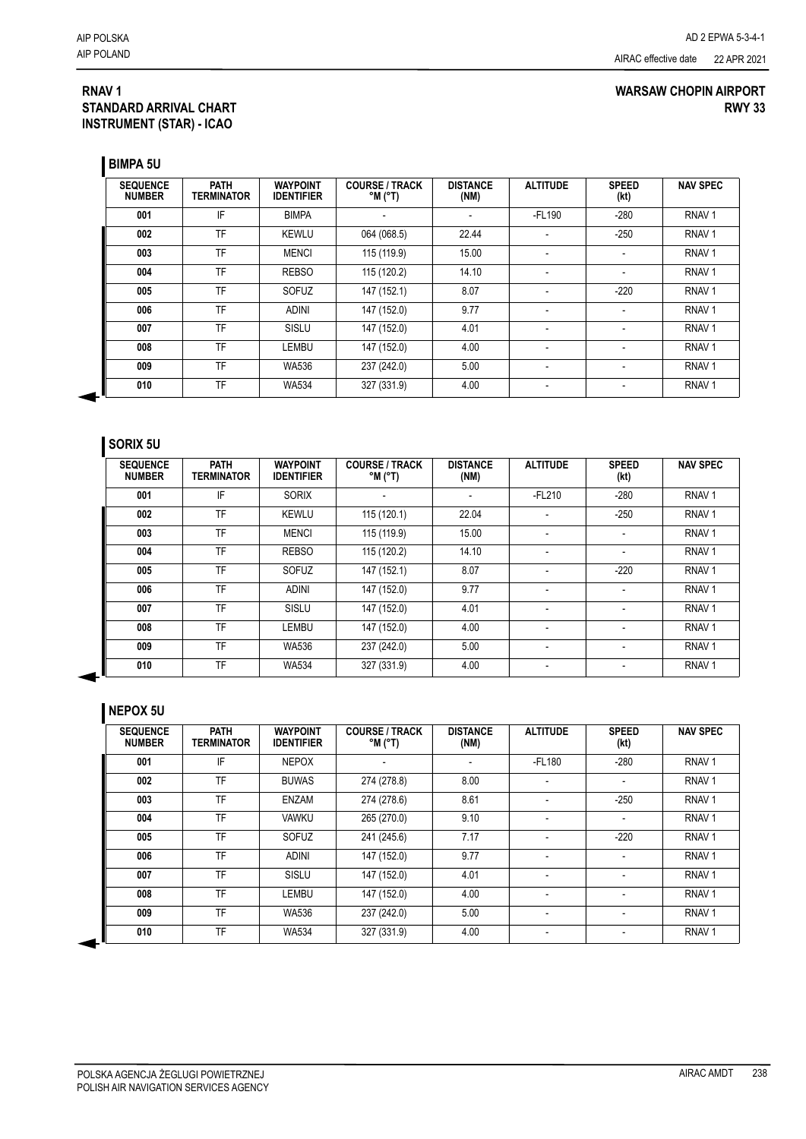#### **RNAV 1 STANDARD ARRIVAL CHART INSTRUMENT (STAR) - ICAO**

#### **WARSAW CHOPIN AIRPORT RWY 33**

**BIMPA 5U**

| <b>SEQUENCE</b><br><b>NUMBER</b> | <b>PATH</b><br>TERMINATOR | <b>WAYPOINT</b><br><b>IDENTIFIER</b> | <b>COURSE / TRACK</b><br>$^{\circ}$ M $^{\circ}$ T) | <b>DISTANCE</b><br>(NM)  | <b>ALTITUDE</b>          | <b>SPEED</b><br>(kt)     | <b>NAV SPEC</b>   |
|----------------------------------|---------------------------|--------------------------------------|-----------------------------------------------------|--------------------------|--------------------------|--------------------------|-------------------|
| 001                              | IF                        | <b>BIMPA</b>                         |                                                     | $\overline{\phantom{0}}$ | $-FL190$                 | $-280$                   | RNAV <sub>1</sub> |
| 002                              | TF                        | <b>KEWLU</b>                         | 064 (068.5)                                         | 22.44                    | ٠                        | $-250$                   | RNAV <sub>1</sub> |
| 003                              | TF                        | <b>MENCI</b>                         | 115 (119.9)                                         | 15.00                    | $\overline{\phantom{a}}$ |                          | RNAV <sub>1</sub> |
| 004                              | TF                        | <b>REBSO</b>                         | 115 (120.2)                                         | 14.10                    |                          |                          | RNAV <sub>1</sub> |
| 005                              | TF                        | SOFUZ                                | 147 (152.1)                                         | 8.07                     | ٠                        | $-220$                   | RNAV <sub>1</sub> |
| 006                              | TF                        | <b>ADINI</b>                         | 147 (152.0)                                         | 9.77                     | $\blacksquare$           | $\overline{\phantom{a}}$ | RNAV <sub>1</sub> |
| 007                              | TF                        | SISLU                                | 147 (152.0)                                         | 4.01                     | $\overline{\phantom{a}}$ |                          | RNAV <sub>1</sub> |
| 008                              | TF                        | LEMBU                                | 147 (152.0)                                         | 4.00                     | $\blacksquare$           |                          | RNAV <sub>1</sub> |
| 009                              | TF                        | <b>WA536</b>                         | 237 (242.0)                                         | 5.00                     | $\overline{\phantom{a}}$ |                          | RNAV <sub>1</sub> |
| 010                              | TF                        | <b>WA534</b>                         | 327 (331.9)                                         | 4.00                     | $\overline{\phantom{a}}$ | $\overline{\phantom{a}}$ | RNAV <sub>1</sub> |

### **SORIX 5U**

| <b>SEQUENCE</b><br><b>NUMBER</b> | <b>PATH</b><br><b>TERMINATOR</b> | <b>WAYPOINT</b><br><b>IDENTIFIER</b> | <b>COURSE / TRACK</b><br>$^{\circ}$ M $^{\circ}$ T) | <b>DISTANCE</b><br>(NM) | <b>ALTITUDE</b> | <b>SPEED</b><br>(kt) | <b>NAV SPEC</b>   |
|----------------------------------|----------------------------------|--------------------------------------|-----------------------------------------------------|-------------------------|-----------------|----------------------|-------------------|
| 001                              | IF                               | <b>SORIX</b>                         | $\overline{\phantom{0}}$                            |                         | $-FL210$        | $-280$               | RNAV <sub>1</sub> |
| 002                              | TF                               | <b>KEWLU</b>                         | 115 (120.1)                                         | 22.04                   |                 | $-250$               | RNAV <sub>1</sub> |
| 003                              | TF                               | <b>MENCI</b>                         | 115 (119.9)                                         | 15.00                   |                 |                      | RNAV <sub>1</sub> |
| 004                              | TF                               | <b>REBSO</b>                         | 115 (120.2)                                         | 14.10                   |                 |                      | RNAV <sub>1</sub> |
| 005                              | TF                               | SOFUZ                                | 147 (152.1)                                         | 8.07                    |                 | $-220$               | RNAV <sub>1</sub> |
| 006                              | TF                               | <b>ADINI</b>                         | 147 (152.0)                                         | 9.77                    | $\blacksquare$  | ٠                    | RNAV <sub>1</sub> |
| 007                              | TF                               | SISLU                                | 147 (152.0)                                         | 4.01                    |                 |                      | RNAV <sub>1</sub> |
| 008                              | TF                               | <b>LEMBU</b>                         | 147 (152.0)                                         | 4.00                    |                 |                      | RNAV <sub>1</sub> |
| 009                              | TF                               | <b>WA536</b>                         | 237 (242.0)                                         | 5.00                    | $\blacksquare$  |                      | RNAV <sub>1</sub> |
| 010                              | TF                               | <b>WA534</b>                         | 327 (331.9)                                         | 4.00                    |                 |                      | RNAV <sub>1</sub> |

#### **NEPOX 5U**

| <b>SEQUENCE</b><br><b>NUMBER</b> | <b>PATH</b><br><b>TERMINATOR</b> | <b>WAYPOINT</b><br><b>IDENTIFIER</b> | <b>COURSE / TRACK</b><br>$^{\circ}$ M $^{\circ}$ T) | <b>DISTANCE</b><br>(NM)  | <b>ALTITUDE</b> | <b>SPEED</b><br>(kt) | <b>NAV SPEC</b>   |
|----------------------------------|----------------------------------|--------------------------------------|-----------------------------------------------------|--------------------------|-----------------|----------------------|-------------------|
| 001                              | IF                               | <b>NEPOX</b>                         |                                                     | $\overline{\phantom{0}}$ | $-FL180$        | $-280$               | RNAV <sub>1</sub> |
| 002                              | TF                               | <b>BUWAS</b>                         | 274 (278.8)                                         | 8.00                     |                 |                      | RNAV <sub>1</sub> |
| 003                              | TF                               | <b>ENZAM</b>                         | 274 (278.6)                                         | 8.61                     |                 | $-250$               | RNAV <sub>1</sub> |
| 004                              | TF                               | VAWKU                                | 265 (270.0)                                         | 9.10                     |                 | ٠                    | RNAV <sub>1</sub> |
| 005                              | TF                               | SOFUZ                                | 241 (245.6)                                         | 7.17                     |                 | $-220$               | RNAV <sub>1</sub> |
| 006                              | TF                               | <b>ADINI</b>                         | 147 (152.0)                                         | 9.77                     |                 | ٠                    | RNAV <sub>1</sub> |
| 007                              | TF                               | SISLU                                | 147 (152.0)                                         | 4.01                     |                 |                      | RNAV <sub>1</sub> |
| 008                              | TF                               | LEMBU                                | 147 (152.0)                                         | 4.00                     |                 |                      | RNAV <sub>1</sub> |
| 009                              | TF                               | WA536                                | 237 (242.0)                                         | 5.00                     |                 |                      | RNAV <sub>1</sub> |
| 010                              | TF                               | <b>WA534</b>                         | 327 (331.9)                                         | 4.00                     | $\blacksquare$  | ٠                    | RNAV <sub>1</sub> |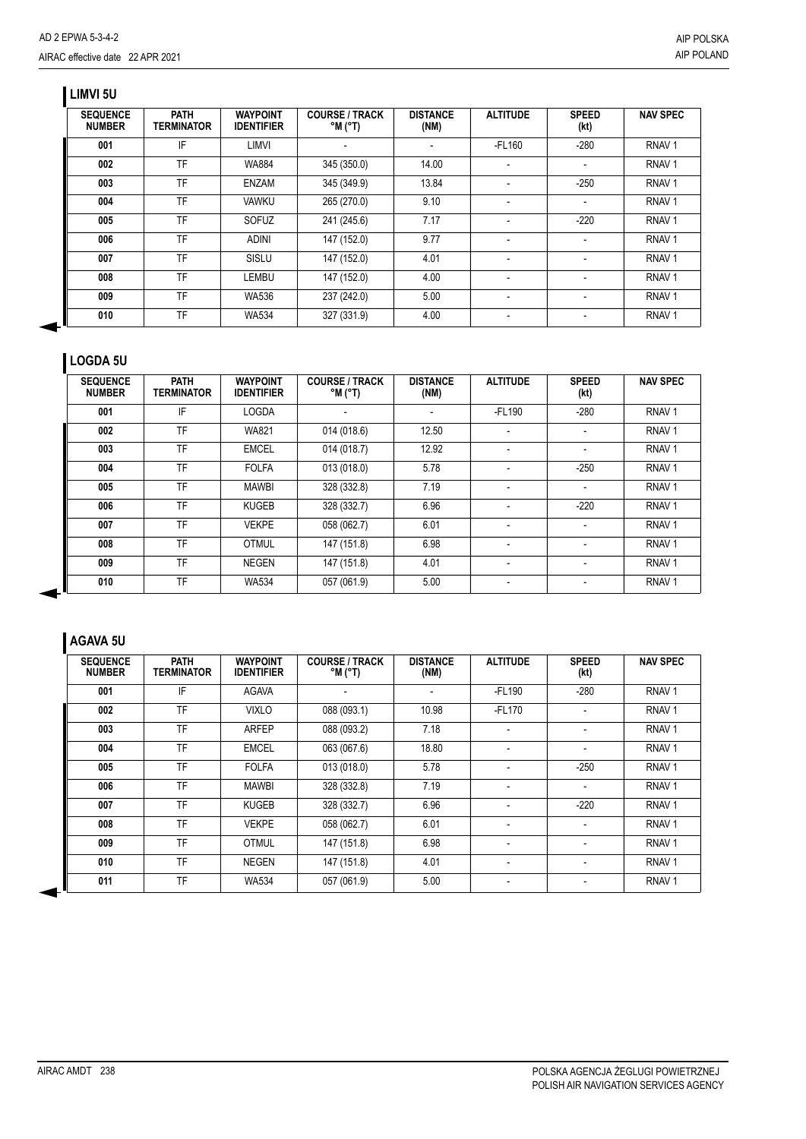## **LIMVI 5U**

| <b>SEQUENCE</b><br><b>NUMBER</b> | <b>PATH</b><br><b>TERMINATOR</b> | <b>WAYPOINT</b><br><b>IDENTIFIER</b> | <b>COURSE / TRACK</b><br>$^{\circ}$ M $^{\circ}$ T) | <b>DISTANCE</b><br>(NM) | <b>ALTITUDE</b>          | <b>SPEED</b><br>(kt) | <b>NAV SPEC</b>   |
|----------------------------------|----------------------------------|--------------------------------------|-----------------------------------------------------|-------------------------|--------------------------|----------------------|-------------------|
| 001                              | IF                               | LIMVI                                |                                                     |                         | $-FL160$                 | $-280$               | RNAV <sub>1</sub> |
| 002                              | TF                               | <b>WA884</b>                         | 345 (350.0)                                         | 14.00                   |                          |                      | RNAV <sub>1</sub> |
| 003                              | TF                               | <b>ENZAM</b>                         | 345 (349.9)                                         | 13.84                   |                          | $-250$               | RNAV <sub>1</sub> |
| 004                              | TF                               | <b>VAWKU</b>                         | 265 (270.0)                                         | 9.10                    | $\overline{\phantom{a}}$ |                      | RNAV <sub>1</sub> |
| 005                              | TF                               | SOFUZ                                | 241 (245.6)                                         | 7.17                    |                          | $-220$               | RNAV <sub>1</sub> |
| 006                              | TF                               | <b>ADINI</b>                         | 147 (152.0)                                         | 9.77                    |                          |                      | RNAV <sub>1</sub> |
| 007                              | TF                               | SISLU                                | 147 (152.0)                                         | 4.01                    |                          |                      | RNAV <sub>1</sub> |
| 008                              | TF                               | LEMBU                                | 147 (152.0)                                         | 4.00                    |                          |                      | RNAV <sub>1</sub> |
| 009                              | TF                               | WA536                                | 237 (242.0)                                         | 5.00                    | $\overline{\phantom{a}}$ |                      | RNAV <sub>1</sub> |
| 010                              | TF                               | <b>WA534</b>                         | 327 (331.9)                                         | 4.00                    |                          |                      | RNAV <sub>1</sub> |

### **LOGDA 5U**

| <b>SEQUENCE</b><br><b>NUMBER</b> | <b>PATH</b><br><b>TERMINATOR</b> | <b>WAYPOINT</b><br><b>IDENTIFIER</b> | <b>COURSE / TRACK</b><br>$^{\circ}$ M ( $^{\circ}$ T) | <b>DISTANCE</b><br>(NM) | <b>ALTITUDE</b>          | <b>SPEED</b><br>(kt) | <b>NAV SPEC</b>   |
|----------------------------------|----------------------------------|--------------------------------------|-------------------------------------------------------|-------------------------|--------------------------|----------------------|-------------------|
| 001                              | IF                               | LOGDA                                |                                                       |                         | -FL190                   | $-280$               | RNAV <sub>1</sub> |
| 002                              | TF                               | <b>WA821</b>                         | 014 (018.6)                                           | 12.50                   | -                        |                      | RNAV <sub>1</sub> |
| 003                              | TF                               | <b>EMCEL</b>                         | 014 (018.7)                                           | 12.92                   | -                        |                      | RNAV <sub>1</sub> |
| 004                              | TF                               | <b>FOLFA</b>                         | 013 (018.0)                                           | 5.78                    | $\overline{\phantom{a}}$ | $-250$               | RNAV <sub>1</sub> |
| 005                              | TF                               | <b>MAWBI</b>                         | 328 (332.8)                                           | 7.19                    | $\overline{\phantom{a}}$ | $\blacksquare$       | RNAV <sub>1</sub> |
| 006                              | TF                               | <b>KUGEB</b>                         | 328 (332.7)                                           | 6.96                    | -                        | $-220$               | RNAV <sub>1</sub> |
| 007                              | TF                               | <b>VEKPE</b>                         | 058 (062.7)                                           | 6.01                    | -                        |                      | RNAV <sub>1</sub> |
| 008                              | TF                               | <b>OTMUL</b>                         | 147 (151.8)                                           | 6.98                    |                          |                      | RNAV <sub>1</sub> |
| 009                              | TF                               | <b>NEGEN</b>                         | 147 (151.8)                                           | 4.01                    | -                        |                      | RNAV <sub>1</sub> |
| 010                              | TF                               | <b>WA534</b>                         | 057 (061.9)                                           | 5.00                    |                          |                      | RNAV <sub>1</sub> |

### **AGAVA 5U**

| <b>SEQUENCE</b><br><b>NUMBER</b> | <b>PATH</b><br><b>TERMINATOR</b> | <b>WAYPOINT</b><br><b>IDENTIFIER</b> | <b>COURSE / TRACK</b><br>$^{\circ}$ M $^{\circ}$ T) | <b>DISTANCE</b><br>(NM) | <b>ALTITUDE</b>          | <b>SPEED</b><br>(kt)     | <b>NAV SPEC</b>   |
|----------------------------------|----------------------------------|--------------------------------------|-----------------------------------------------------|-------------------------|--------------------------|--------------------------|-------------------|
| 001                              | IF                               | <b>AGAVA</b>                         | ٠                                                   |                         | $-FL190$                 | $-280$                   | RNAV <sub>1</sub> |
| 002                              | TF                               | <b>VIXLO</b>                         | 088 (093.1)                                         | 10.98                   | $-FL170$                 | $\blacksquare$           | RNAV <sub>1</sub> |
| 003                              | TF                               | <b>ARFEP</b>                         | 088 (093.2)                                         | 7.18                    | $\overline{\phantom{0}}$ |                          | RNAV <sub>1</sub> |
| 004                              | TF                               | <b>EMCEL</b>                         | 063 (067.6)                                         | 18.80                   | $\overline{\phantom{0}}$ | $\overline{\phantom{0}}$ | RNAV <sub>1</sub> |
| 005                              | TF                               | <b>FOLFA</b>                         | 013 (018.0)                                         | 5.78                    |                          | $-250$                   | RNAV <sub>1</sub> |
| 006                              | TF                               | <b>MAWBI</b>                         | 328 (332.8)                                         | 7.19                    | $\overline{\phantom{0}}$ |                          | RNAV <sub>1</sub> |
| 007                              | TF                               | <b>KUGEB</b>                         | 328 (332.7)                                         | 6.96                    | $\overline{\phantom{a}}$ | $-220$                   | RNAV <sub>1</sub> |
| 008                              | TF                               | <b>VEKPE</b>                         | 058 (062.7)                                         | 6.01                    | $\overline{\phantom{0}}$ |                          | RNAV <sub>1</sub> |
| 009                              | <b>TF</b>                        | <b>OTMUL</b>                         | 147 (151.8)                                         | 6.98                    | $\overline{\phantom{a}}$ | $\blacksquare$           | RNAV <sub>1</sub> |
| 010                              | <b>TF</b>                        | <b>NEGEN</b>                         | 147 (151.8)                                         | 4.01                    | $\overline{\phantom{a}}$ | $\blacksquare$           | RNAV <sub>1</sub> |
| 011                              | TF                               | <b>WA534</b>                         | 057 (061.9)                                         | 5.00                    | -                        |                          | RNAV <sub>1</sub> |